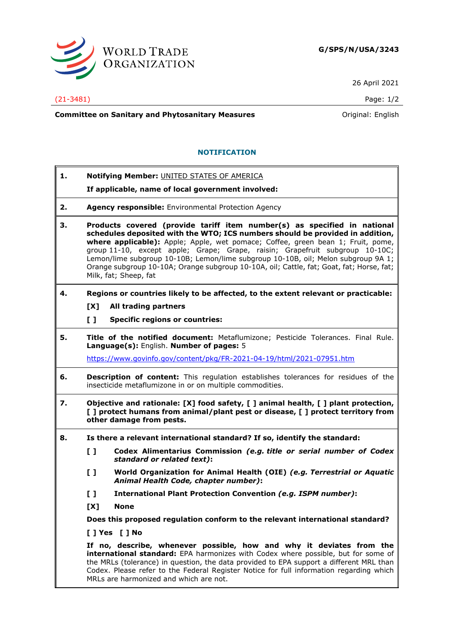

26 April 2021

## (21-3481) Page: 1/2

**Committee on Sanitary and Phytosanitary Measures Committee on Sanitary and Phytosanitary Measures Committee And American** 

## **NOTIFICATION**

**1. Notifying Member:** UNITED STATES OF AMERICA

**If applicable, name of local government involved:**

- **2. Agency responsible:** Environmental Protection Agency
- **3. Products covered (provide tariff item number(s) as specified in national schedules deposited with the WTO; ICS numbers should be provided in addition, where applicable):** Apple; Apple, wet pomace; Coffee, green bean 1; Fruit, pome, group 11-10, except apple; Grape; Grape, raisin; Grapefruit subgroup 10-10C; Lemon/lime subgroup 10-10B; Lemon/lime subgroup 10-10B, oil; Melon subgroup 9A 1; Orange subgroup 10-10A; Orange subgroup 10-10A, oil; Cattle, fat; Goat, fat; Horse, fat; Milk, fat; Sheep, fat
- **4. Regions or countries likely to be affected, to the extent relevant or practicable:**
	- **[X] All trading partners**
	- **[ ] Specific regions or countries:**
- **5. Title of the notified document:** Metaflumizone; Pesticide Tolerances. Final Rule. **Language(s):** English. **Number of pages:** 5

<https://www.govinfo.gov/content/pkg/FR-2021-04-19/html/2021-07951.htm>

- **6. Description of content:** This regulation establishes tolerances for residues of the insecticide metaflumizone in or on multiple commodities.
- **7. Objective and rationale: [X] food safety, [ ] animal health, [ ] plant protection, [ ] protect humans from animal/plant pest or disease, [ ] protect territory from other damage from pests.**
- **8. Is there a relevant international standard? If so, identify the standard:**
	- **[ ] Codex Alimentarius Commission** *(e.g. title or serial number of Codex standard or related text)***:**
	- **[ ] World Organization for Animal Health (OIE)** *(e.g. Terrestrial or Aquatic Animal Health Code, chapter number)***:**
	- **[ ] International Plant Protection Convention** *(e.g. ISPM number)***:**
	- **[X] None**

**Does this proposed regulation conform to the relevant international standard?** 

**[ ] Yes [ ] No**

**If no, describe, whenever possible, how and why it deviates from the international standard:** EPA harmonizes with Codex where possible, but for some of the MRLs (tolerance) in question, the data provided to EPA support a different MRL than Codex. Please refer to the Federal Register Notice for full information regarding which MRLs are harmonized and which are not.